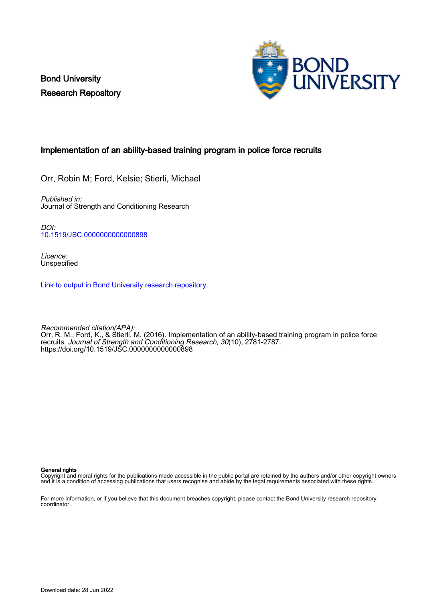Bond University Research Repository



# Implementation of an ability-based training program in police force recruits

Orr, Robin M; Ford, Kelsie; Stierli, Michael

Published in: Journal of Strength and Conditioning Research

DOI: [10.1519/JSC.0000000000000898](https://doi.org/10.1519/JSC.0000000000000898)

Licence: Unspecified

[Link to output in Bond University research repository.](https://research.bond.edu.au/en/publications/e5cf8b40-a803-4c98-89ad-fc409fb059c7)

Recommended citation(APA): Orr, R. M., Ford, K., & Stierli, M. (2016). Implementation of an ability-based training program in police force recruits. Journal of Strength and Conditioning Research, 30(10), 2781-2787. <https://doi.org/10.1519/JSC.0000000000000898>

#### General rights

Copyright and moral rights for the publications made accessible in the public portal are retained by the authors and/or other copyright owners and it is a condition of accessing publications that users recognise and abide by the legal requirements associated with these rights.

For more information, or if you believe that this document breaches copyright, please contact the Bond University research repository coordinator.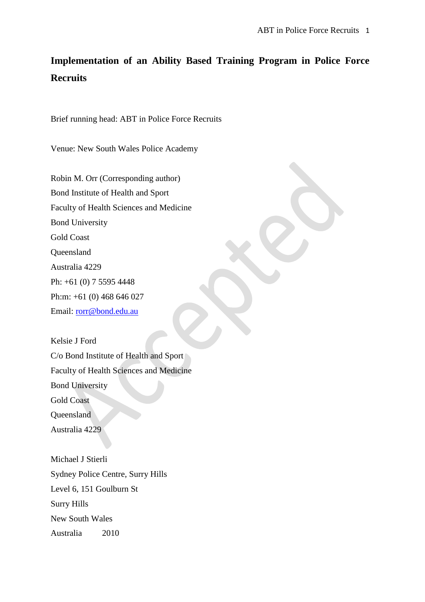# **Implementation of an Ability Based Training Program in Police Force Recruits**

Brief running head: ABT in Police Force Recruits

Venue: New South Wales Police Academy

Robin M. Orr (Corresponding author) Bond Institute of Health and Sport Faculty of Health Sciences and Medicine Bond University Gold Coast Queensland Australia 4229 Ph: +61 (0) 7 5595 4448 Ph:m: +61 (0) 468 646 027 Email: [rorr@bond.edu.au](mailto:rorr@bond.edu.au)

Kelsie J Ford C/o Bond Institute of Health and Sport Faculty of Health Sciences and Medicine Bond University Gold Coast Queensland Australia 4229

Michael J Stierli Sydney Police Centre, Surry Hills Level 6, 151 Goulburn St Surry Hills New South Wales Australia 2010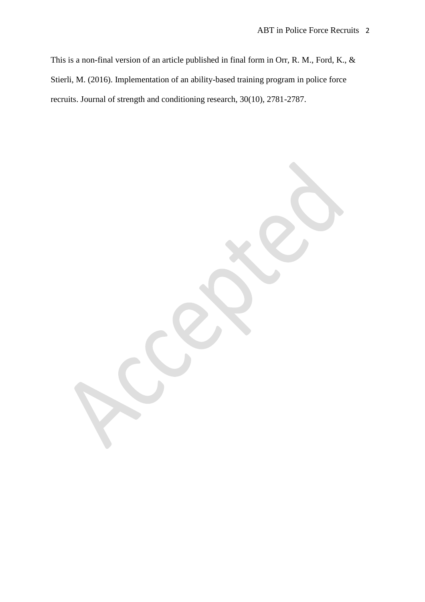This is a non-final version of an article published in final form in Orr, R. M., Ford, K., & Stierli, M. (2016). Implementation of an ability-based training program in police force recruits. Journal of strength and conditioning research, 30(10), 2781-2787.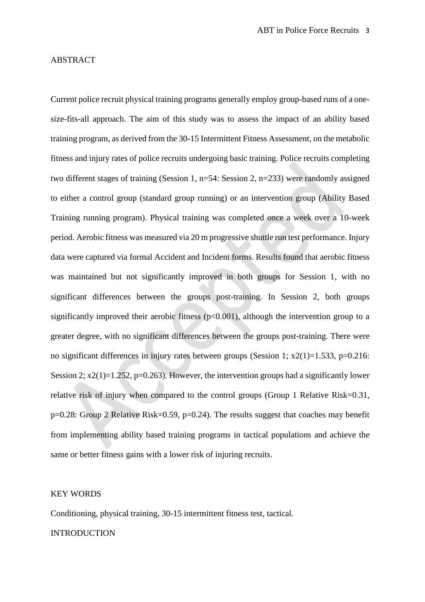### ABSTRACT

Current police recruit physical training programs generally employ group-based runs of a onesize-fits-all approach. The aim of this study was to assess the impact of an ability based training program, as derived from the 30-15 Intermittent Fitness Assessment, on the metabolic fitness and injury rates of police recruits undergoing basic training. Police recruits completing two different stages of training (Session 1, n=54: Session 2, n=233) were randomly assigned to either a control group (standard group running) or an intervention group (Ability Based Training running program). Physical training was completed once a week over a 10-week period. Aerobic fitness was measured via 20 m progressive shuttle run test performance. Injury data were captured via formal Accident and Incident forms. Results found that aerobic fitness was maintained but not significantly improved in both groups for Session 1, with no significant differences between the groups post-training. In Session 2, both groups significantly improved their aerobic fitness (p<0.001), although the intervention group to a greater degree, with no significant differences between the groups post-training. There were no significant differences in injury rates between groups (Session 1;  $x2(1)=1.533$ ,  $p=0.216$ : Session 2;  $x2(1)=1.252$ ,  $p=0.263$ ). However, the intervention groups had a significantly lower relative risk of injury when compared to the control groups (Group 1 Relative Risk=0.31, p=0.28: Group 2 Relative Risk=0.59, p=0.24). The results suggest that coaches may benefit from implementing ability based training programs in tactical populations and achieve the same or better fitness gains with a lower risk of injuring recruits.

### KEY WORDS

Conditioning, physical training, 30-15 intermittent fitness test, tactical.

#### **INTRODUCTION**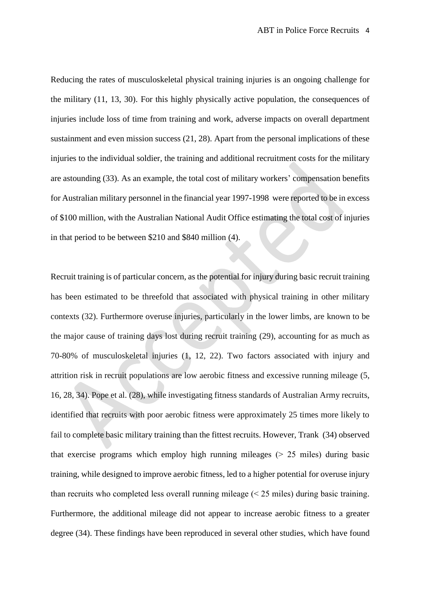Reducing the rates of musculoskeletal physical training injuries is an ongoing challenge for the military [\(11,](#page-18-0) [13,](#page-18-1) [30\)](#page-19-0). For this highly physically active population, the consequences of injuries include loss of time from training and work, adverse impacts on overall department sustainment and even mission success [\(21,](#page-19-1) [28\)](#page-19-2). Apart from the personal implications of these injuries to the individual soldier, the training and additional recruitment costs for the military are astounding [\(33\)](#page-19-3). As an example, the total cost of military workers' compensation benefits for Australian military personnel in the financial year 1997-1998 were reported to be in excess of \$100 million, with the Australian National Audit Office estimating the total cost of injuries in that period to be between \$210 and \$840 million [\(4\)](#page-18-2).

Recruit training is of particular concern, as the potential for injury during basic recruit training has been estimated to be threefold that associated with physical training in other military contexts [\(32\)](#page-19-4). Furthermore overuse injuries, particularly in the lower limbs, are known to be the major cause of training days lost during recruit training [\(29\)](#page-19-5), accounting for as much as 70-80% of musculoskeletal injuries [\(1,](#page-18-3) [12,](#page-18-4) [22\)](#page-19-6). Two factors associated with injury and attrition risk in recruit populations are low aerobic fitness and excessive running mileage [\(5,](#page-18-5) [16,](#page-18-6) [28,](#page-19-2) [34\)](#page-19-7). Pope et al. [\(28\)](#page-19-2), while investigating fitness standards of Australian Army recruits, identified that recruits with poor aerobic fitness were approximately 25 times more likely to fail to complete basic military training than the fittest recruits. However, Trank [\(34\)](#page-19-7) observed that exercise programs which employ high running mileages  $($   $>$  25 miles) during basic training, while designed to improve aerobic fitness, led to a higher potential for overuse injury than recruits who completed less overall running mileage  $(< 25$  miles) during basic training. Furthermore, the additional mileage did not appear to increase aerobic fitness to a greater degree [\(34\)](#page-19-7). These findings have been reproduced in several other studies, which have found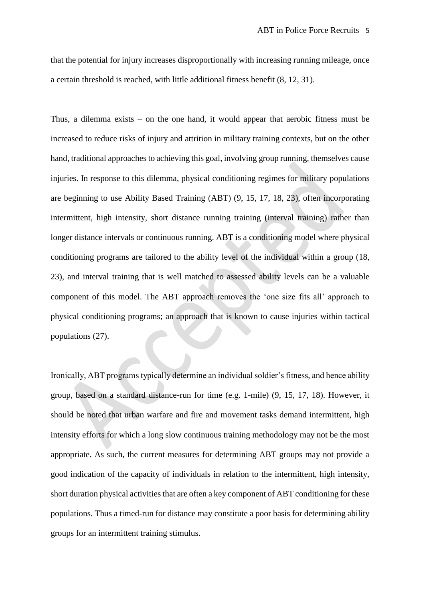that the potential for injury increases disproportionally with increasing running mileage, once a certain threshold is reached, with little additional fitness benefit [\(8,](#page-18-7) [12,](#page-18-4) [31\)](#page-19-8).

Thus, a dilemma exists – on the one hand, it would appear that aerobic fitness must be increased to reduce risks of injury and attrition in military training contexts, but on the other hand, traditional approaches to achieving this goal, involving group running, themselves cause injuries. In response to this dilemma, physical conditioning regimes for military populations are beginning to use Ability Based Training (ABT) [\(9,](#page-18-8) [15,](#page-18-9) [17,](#page-18-10) [18,](#page-19-9) [23\)](#page-19-10), often incorporating intermittent, high intensity, short distance running training (interval training) rather than longer distance intervals or continuous running. ABT is a conditioning model where physical conditioning programs are tailored to the ability level of the individual within a group [\(18,](#page-19-9) [23\)](#page-19-10), and interval training that is well matched to assessed ability levels can be a valuable component of this model. The ABT approach removes the 'one size fits all' approach to physical conditioning programs; an approach that is known to cause injuries within tactical populations [\(27\)](#page-19-11).

Ironically, ABT programs typically determine an individual soldier's fitness, and hence ability group, based on a standard distance-run for time (e.g. 1-mile) [\(9,](#page-18-8) [15,](#page-18-9) [17,](#page-18-10) [18\)](#page-19-9). However, it should be noted that urban warfare and fire and movement tasks demand intermittent, high intensity efforts for which a long slow continuous training methodology may not be the most appropriate. As such, the current measures for determining ABT groups may not provide a good indication of the capacity of individuals in relation to the intermittent, high intensity, short duration physical activities that are often a key component of ABT conditioning for these populations. Thus a timed-run for distance may constitute a poor basis for determining ability groups for an intermittent training stimulus.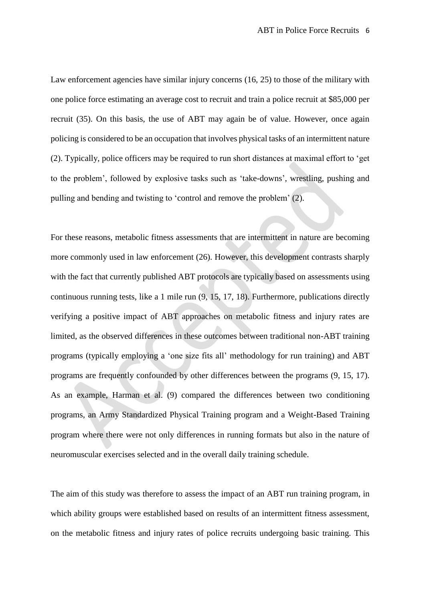Law enforcement agencies have similar injury concerns [\(16,](#page-18-6) [25\)](#page-19-12) to those of the military with one police force estimating an average cost to recruit and train a police recruit at \$85,000 per recruit [\(35\)](#page-19-13). On this basis, the use of ABT may again be of value. However, once again policing is considered to be an occupation that involves physical tasks of an intermittent nature [\(2\)](#page-18-11). Typically, police officers may be required to run short distances at maximal effort to 'get to the problem', followed by explosive tasks such as 'take-downs', wrestling, pushing and pulling and bending and twisting to 'control and remove the problem' [\(2\)](#page-18-11).

For these reasons, metabolic fitness assessments that are intermittent in nature are becoming more commonly used in law enforcement [\(26\)](#page-19-14). However, this development contrasts sharply with the fact that currently published ABT protocols are typically based on assessments using continuous running tests, like a 1 mile run [\(9,](#page-18-8) [15,](#page-18-9) [17,](#page-18-10) [18\)](#page-19-9). Furthermore, publications directly verifying a positive impact of ABT approaches on metabolic fitness and injury rates are limited, as the observed differences in these outcomes between traditional non-ABT training programs (typically employing a 'one size fits all' methodology for run training) and ABT programs are frequently confounded by other differences between the programs [\(9,](#page-18-8) [15,](#page-18-9) [17\)](#page-18-10). As an example, Harman et al. [\(9\)](#page-18-8) compared the differences between two conditioning programs, an Army Standardized Physical Training program and a Weight-Based Training program where there were not only differences in running formats but also in the nature of neuromuscular exercises selected and in the overall daily training schedule.

The aim of this study was therefore to assess the impact of an ABT run training program, in which ability groups were established based on results of an intermittent fitness assessment, on the metabolic fitness and injury rates of police recruits undergoing basic training. This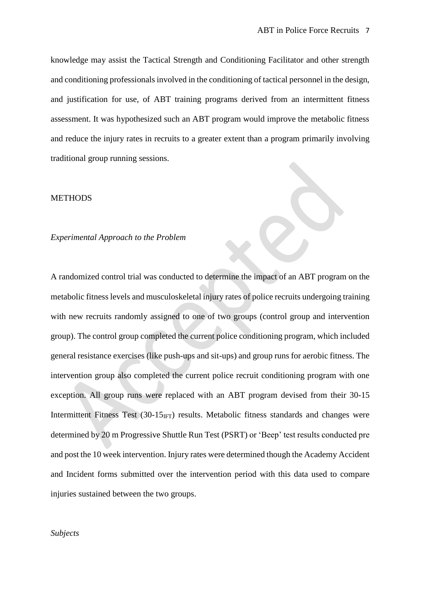knowledge may assist the Tactical Strength and Conditioning Facilitator and other strength and conditioning professionals involved in the conditioning of tactical personnel in the design, and justification for use, of ABT training programs derived from an intermittent fitness assessment. It was hypothesized such an ABT program would improve the metabolic fitness and reduce the injury rates in recruits to a greater extent than a program primarily involving traditional group running sessions.

#### METHODS

#### *Experimental Approach to the Problem*

A randomized control trial was conducted to determine the impact of an ABT program on the metabolic fitness levels and musculoskeletal injury rates of police recruits undergoing training with new recruits randomly assigned to one of two groups (control group and intervention group). The control group completed the current police conditioning program, which included general resistance exercises (like push-ups and sit-ups) and group runs for aerobic fitness. The intervention group also completed the current police recruit conditioning program with one exception. All group runs were replaced with an ABT program devised from their 30-15 Intermittent Fitness Test  $(30-15_{\text{IFT}})$  results. Metabolic fitness standards and changes were determined by 20 m Progressive Shuttle Run Test (PSRT) or 'Beep' test results conducted pre and post the 10 week intervention. Injury rates were determined though the Academy Accident and Incident forms submitted over the intervention period with this data used to compare injuries sustained between the two groups.

#### *Subjects*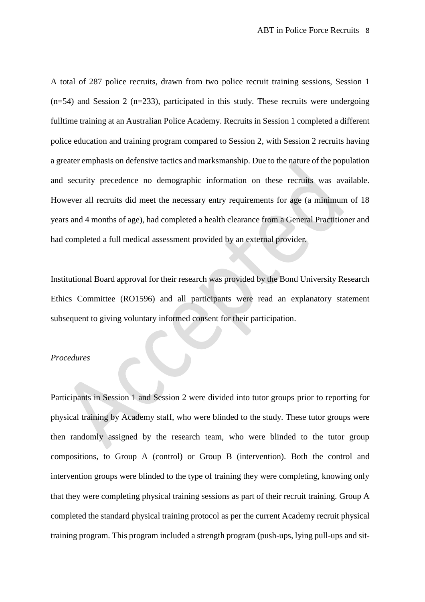A total of 287 police recruits, drawn from two police recruit training sessions, Session 1  $(n=54)$  and Session 2 (n=233), participated in this study. These recruits were undergoing fulltime training at an Australian Police Academy. Recruits in Session 1 completed a different police education and training program compared to Session 2, with Session 2 recruits having a greater emphasis on defensive tactics and marksmanship. Due to the nature of the population and security precedence no demographic information on these recruits was available. However all recruits did meet the necessary entry requirements for age (a minimum of 18 years and 4 months of age), had completed a health clearance from a General Practitioner and had completed a full medical assessment provided by an external provider.

Institutional Board approval for their research was provided by the Bond University Research Ethics Committee (RO1596) and all participants were read an explanatory statement subsequent to giving voluntary informed consent for their participation.

# *Procedures*

Participants in Session 1 and Session 2 were divided into tutor groups prior to reporting for physical training by Academy staff, who were blinded to the study. These tutor groups were then randomly assigned by the research team, who were blinded to the tutor group compositions, to Group A (control) or Group B (intervention). Both the control and intervention groups were blinded to the type of training they were completing, knowing only that they were completing physical training sessions as part of their recruit training. Group A completed the standard physical training protocol as per the current Academy recruit physical training program. This program included a strength program (push-ups, lying pull-ups and sit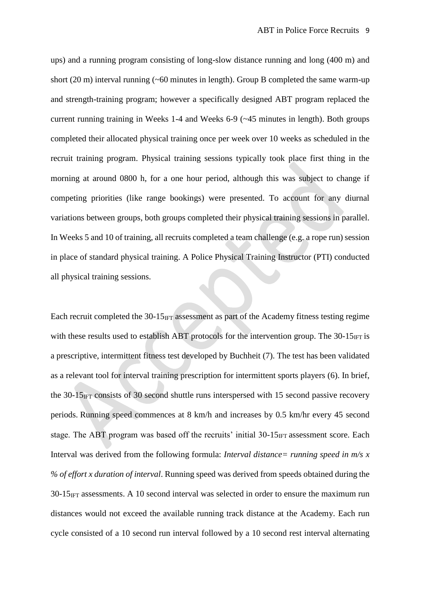ups) and a running program consisting of long-slow distance running and long (400 m) and short (20 m) interval running  $(-60 \text{ minutes in length})$ . Group B completed the same warm-up and strength-training program; however a specifically designed ABT program replaced the current running training in Weeks 1-4 and Weeks 6-9 (~45 minutes in length). Both groups completed their allocated physical training once per week over 10 weeks as scheduled in the recruit training program. Physical training sessions typically took place first thing in the morning at around 0800 h, for a one hour period, although this was subject to change if competing priorities (like range bookings) were presented. To account for any diurnal variations between groups, both groups completed their physical training sessions in parallel. In Weeks 5 and 10 of training, all recruits completed a team challenge (e.g. a rope run) session in place of standard physical training. A Police Physical Training Instructor (PTI) conducted all physical training sessions.

Each recruit completed the  $30-15_{\text{IFT}}$  assessment as part of the Academy fitness testing regime with these results used to establish ABT protocols for the intervention group. The  $30-15_{\text{IFT}}$  is a prescriptive, intermittent fitness test developed by Buchheit [\(7\)](#page-18-12). The test has been validated as a relevant tool for interval training prescription for intermittent sports players [\(6\)](#page-18-13). In brief, the  $30-15_{\text{IFT}}$  consists of 30 second shuttle runs interspersed with 15 second passive recovery periods. Running speed commences at 8 km/h and increases by 0.5 km/hr every 45 second stage. The ABT program was based off the recruits' initial  $30\n-15<sub>IFT</sub>$  assessment score. Each Interval was derived from the following formula: *Interval distance= running speed in m/s x % of effort x duration of interval*. Running speed was derived from speeds obtained during the  $30-15$ <sub>IFT</sub> assessments. A 10 second interval was selected in order to ensure the maximum run distances would not exceed the available running track distance at the Academy. Each run cycle consisted of a 10 second run interval followed by a 10 second rest interval alternating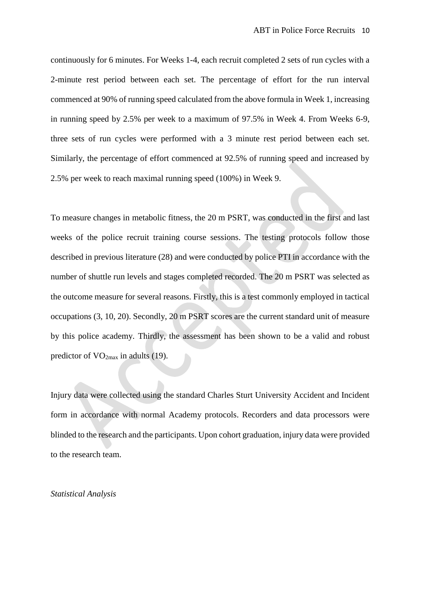continuously for 6 minutes. For Weeks 1-4, each recruit completed 2 sets of run cycles with a 2-minute rest period between each set. The percentage of effort for the run interval commenced at 90% of running speed calculated from the above formula in Week 1, increasing in running speed by 2.5% per week to a maximum of 97.5% in Week 4. From Weeks 6-9, three sets of run cycles were performed with a 3 minute rest period between each set. Similarly, the percentage of effort commenced at 92.5% of running speed and increased by 2.5% per week to reach maximal running speed (100%) in Week 9.

To measure changes in metabolic fitness, the 20 m PSRT, was conducted in the first and last weeks of the police recruit training course sessions. The testing protocols follow those described in previous literature [\(28\)](#page-19-2) and were conducted by police PTI in accordance with the number of shuttle run levels and stages completed recorded. The 20 m PSRT was selected as the outcome measure for several reasons. Firstly, this is a test commonly employed in tactical occupations [\(3,](#page-18-14) [10,](#page-18-15) [20\)](#page-19-15). Secondly, 20 m PSRT scores are the current standard unit of measure by this police academy. Thirdly, the assessment has been shown to be a valid and robust predictor of  $VO<sub>2max</sub>$  in adults [\(19\)](#page-19-16).

Injury data were collected using the standard Charles Sturt University Accident and Incident form in accordance with normal Academy protocols. Recorders and data processors were blinded to the research and the participants. Upon cohort graduation, injury data were provided to the research team.

#### *Statistical Analysis*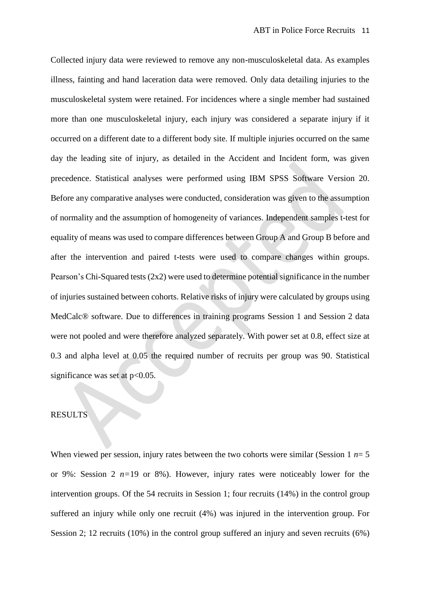Collected injury data were reviewed to remove any non-musculoskeletal data. As examples illness, fainting and hand laceration data were removed. Only data detailing injuries to the musculoskeletal system were retained. For incidences where a single member had sustained more than one musculoskeletal injury, each injury was considered a separate injury if it occurred on a different date to a different body site. If multiple injuries occurred on the same day the leading site of injury, as detailed in the Accident and Incident form, was given precedence. Statistical analyses were performed using IBM SPSS Software Version 20. Before any comparative analyses were conducted, consideration was given to the assumption of normality and the assumption of homogeneity of variances. Independent samples t-test for equality of means was used to compare differences between Group A and Group B before and after the intervention and paired t-tests were used to compare changes within groups. Pearson's Chi-Squared tests (2x2) were used to determine potential significance in the number of injuries sustained between cohorts. Relative risks of injury were calculated by groups using MedCalc® software. Due to differences in training programs Session 1 and Session 2 data were not pooled and were therefore analyzed separately. With power set at 0.8, effect size at 0.3 and alpha level at 0.05 the required number of recruits per group was 90. Statistical significance was set at  $p<0.05$ .

# RESULTS

When viewed per session, injury rates between the two cohorts were similar (Session 1  $n=5$ ) or 9%: Session 2 *n=*19 or 8%). However, injury rates were noticeably lower for the intervention groups. Of the 54 recruits in Session 1; four recruits (14%) in the control group suffered an injury while only one recruit (4%) was injured in the intervention group. For Session 2; 12 recruits (10%) in the control group suffered an injury and seven recruits (6%)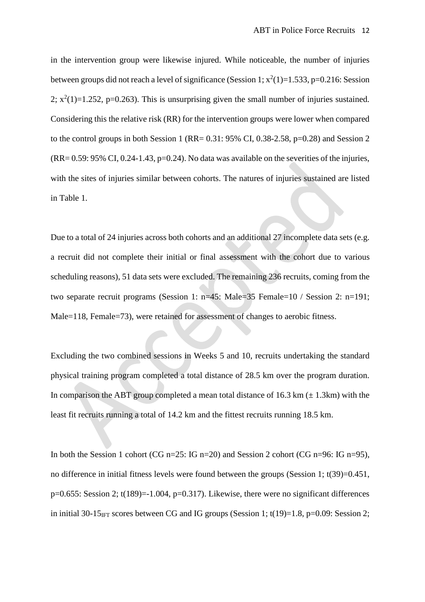in the intervention group were likewise injured. While noticeable, the number of injuries between groups did not reach a level of significance (Session 1;  $x^2(1)=1.533$ ,  $p=0.216$ : Session 2;  $x^2(1)=1.252$ ,  $p=0.263$ ). This is unsurprising given the small number of injuries sustained. Considering this the relative risk (RR) for the intervention groups were lower when compared to the control groups in both Session 1 (RR=  $0.31: 95\%$  CI,  $0.38-2.58$ , p= $0.28$ ) and Session 2  $(RR= 0.59: 95\% \text{ CI}, 0.24-1.43, p=0.24)$ . No data was available on the severities of the injuries, with the sites of injuries similar between cohorts. The natures of injuries sustained are listed in Table 1.

Due to a total of 24 injuries across both cohorts and an additional 27 incomplete data sets (e.g. a recruit did not complete their initial or final assessment with the cohort due to various scheduling reasons), 51 data sets were excluded. The remaining 236 recruits, coming from the two separate recruit programs (Session 1: n=45: Male=35 Female=10 / Session 2: n=191; Male=118, Female=73), were retained for assessment of changes to aerobic fitness.

Excluding the two combined sessions in Weeks 5 and 10, recruits undertaking the standard physical training program completed a total distance of 28.5 km over the program duration. In comparison the ABT group completed a mean total distance of 16.3 km  $(\pm 1.3 \text{ km})$  with the least fit recruits running a total of 14.2 km and the fittest recruits running 18.5 km.

In both the Session 1 cohort (CG n=25: IG n=20) and Session 2 cohort (CG n=96: IG n=95), no difference in initial fitness levels were found between the groups (Session 1; t(39)=0.451,  $p=0.655$ : Session 2;  $t(189)=1.004$ ,  $p=0.317$ ). Likewise, there were no significant differences in initial 30-15 $_{\text{IFT}}$  scores between CG and IG groups (Session 1; t(19)=1.8, p=0.09: Session 2;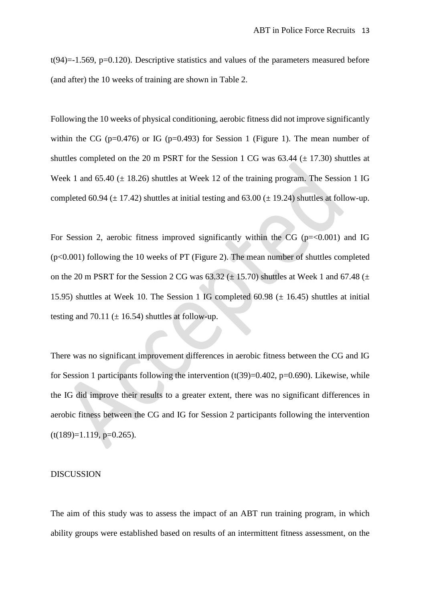$t(94)=1.569$ ,  $p=0.120$ ). Descriptive statistics and values of the parameters measured before (and after) the 10 weeks of training are shown in Table 2.

Following the 10 weeks of physical conditioning, aerobic fitness did not improve significantly within the CG ( $p=0.476$ ) or IG ( $p=0.493$ ) for Session 1 (Figure 1). The mean number of shuttles completed on the 20 m PSRT for the Session 1 CG was  $63.44 \ (\pm 17.30)$  shuttles at Week 1 and  $65.40 \ (\pm 18.26)$  shuttles at Week 12 of the training program. The Session 1 IG completed 60.94 ( $\pm$  17.42) shuttles at initial testing and 63.00 ( $\pm$  19.24) shuttles at follow-up.

For Session 2, aerobic fitness improved significantly within the CG ( $p = 0.001$ ) and IG (p<0.001) following the 10 weeks of PT (Figure 2). The mean number of shuttles completed on the 20 m PSRT for the Session 2 CG was  $63.32 \ (\pm 15.70)$  shuttles at Week 1 and  $67.48 \ (\pm 1.5)$ 15.95) shuttles at Week 10. The Session 1 IG completed 60.98  $(\pm 16.45)$  shuttles at initial testing and 70.11 ( $\pm$  16.54) shuttles at follow-up.

There was no significant improvement differences in aerobic fitness between the CG and IG for Session 1 participants following the intervention  $(t(39)=0.402, p=0.690)$ . Likewise, while the IG did improve their results to a greater extent, there was no significant differences in aerobic fitness between the CG and IG for Session 2 participants following the intervention  $(t(189)=1.119, p=0.265).$ 

## DISCUSSION

The aim of this study was to assess the impact of an ABT run training program, in which ability groups were established based on results of an intermittent fitness assessment, on the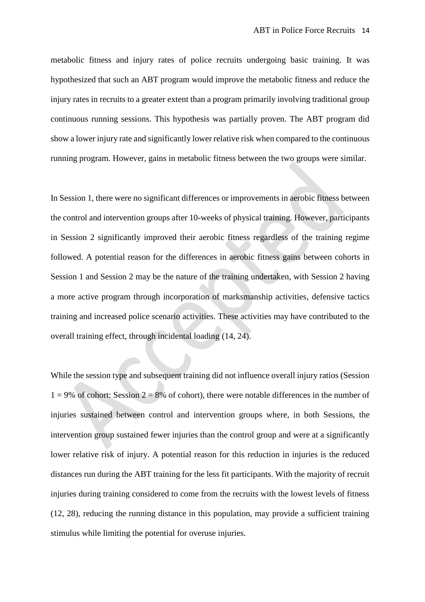metabolic fitness and injury rates of police recruits undergoing basic training. It was hypothesized that such an ABT program would improve the metabolic fitness and reduce the injury rates in recruits to a greater extent than a program primarily involving traditional group continuous running sessions. This hypothesis was partially proven. The ABT program did show a lower injury rate and significantly lower relative risk when compared to the continuous running program. However, gains in metabolic fitness between the two groups were similar.

In Session 1, there were no significant differences or improvements in aerobic fitness between the control and intervention groups after 10-weeks of physical training. However, participants in Session 2 significantly improved their aerobic fitness regardless of the training regime followed. A potential reason for the differences in aerobic fitness gains between cohorts in Session 1 and Session 2 may be the nature of the training undertaken, with Session 2 having a more active program through incorporation of marksmanship activities, defensive tactics training and increased police scenario activities. These activities may have contributed to the overall training effect, through incidental loading [\(14,](#page-18-16) [24\)](#page-19-17).

While the session type and subsequent training did not influence overall injury ratios (Session  $1 = 9\%$  of cohort: Session  $2 = 8\%$  of cohort), there were notable differences in the number of injuries sustained between control and intervention groups where, in both Sessions, the intervention group sustained fewer injuries than the control group and were at a significantly lower relative risk of injury. A potential reason for this reduction in injuries is the reduced distances run during the ABT training for the less fit participants. With the majority of recruit injuries during training considered to come from the recruits with the lowest levels of fitness [\(12,](#page-18-4) [28\)](#page-19-2), reducing the running distance in this population, may provide a sufficient training stimulus while limiting the potential for overuse injuries.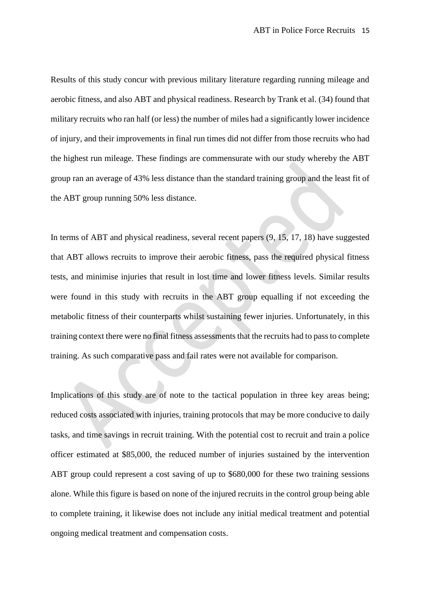Results of this study concur with previous military literature regarding running mileage and aerobic fitness, and also ABT and physical readiness. Research by Trank et al. [\(34\)](#page-19-7) found that military recruits who ran half (or less) the number of miles had a significantly lower incidence of injury, and their improvements in final run times did not differ from those recruits who had the highest run mileage. These findings are commensurate with our study whereby the ABT group ran an average of 43% less distance than the standard training group and the least fit of the ABT group running 50% less distance.

In terms of ABT and physical readiness, several recent papers [\(9,](#page-18-8) [15,](#page-18-9) [17,](#page-18-10) [18\)](#page-19-9) have suggested that ABT allows recruits to improve their aerobic fitness, pass the required physical fitness tests, and minimise injuries that result in lost time and lower fitness levels. Similar results were found in this study with recruits in the ABT group equalling if not exceeding the metabolic fitness of their counterparts whilst sustaining fewer injuries. Unfortunately, in this training context there were no final fitness assessments that the recruits had to pass to complete training. As such comparative pass and fail rates were not available for comparison.

Implications of this study are of note to the tactical population in three key areas being; reduced costs associated with injuries, training protocols that may be more conducive to daily tasks, and time savings in recruit training. With the potential cost to recruit and train a police officer estimated at \$85,000, the reduced number of injuries sustained by the intervention ABT group could represent a cost saving of up to \$680,000 for these two training sessions alone. While this figure is based on none of the injured recruits in the control group being able to complete training, it likewise does not include any initial medical treatment and potential ongoing medical treatment and compensation costs.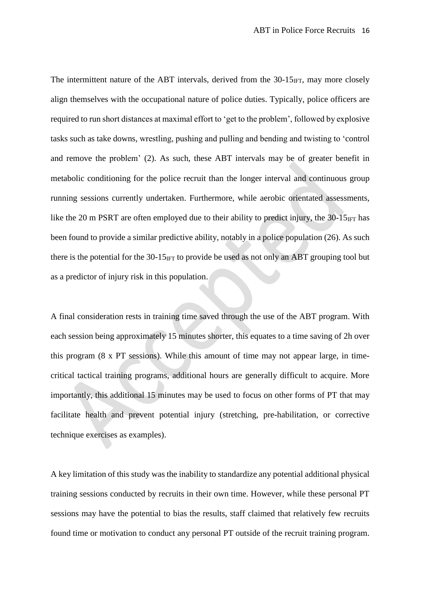The intermittent nature of the ABT intervals, derived from the  $30\n-15$ <sub>IFT</sub>, may more closely align themselves with the occupational nature of police duties. Typically, police officers are required to run short distances at maximal effort to 'get to the problem', followed by explosive tasks such as take downs, wrestling, pushing and pulling and bending and twisting to 'control and remove the problem' [\(2\)](#page-18-11). As such, these ABT intervals may be of greater benefit in metabolic conditioning for the police recruit than the longer interval and continuous group running sessions currently undertaken. Furthermore, while aerobic orientated assessments, like the 20 m PSRT are often employed due to their ability to predict injury, the  $30\n-15<sub>IFT</sub>$  has been found to provide a similar predictive ability, notably in a police population [\(26\)](#page-19-14). As such there is the potential for the  $30-15_{\text{IFT}}$  to provide be used as not only an ABT grouping tool but as a predictor of injury risk in this population.

A final consideration rests in training time saved through the use of the ABT program. With each session being approximately 15 minutes shorter, this equates to a time saving of 2h over this program (8 x PT sessions). While this amount of time may not appear large, in timecritical tactical training programs, additional hours are generally difficult to acquire. More importantly, this additional 15 minutes may be used to focus on other forms of PT that may facilitate health and prevent potential injury (stretching, pre-habilitation, or corrective technique exercises as examples).

A key limitation of this study was the inability to standardize any potential additional physical training sessions conducted by recruits in their own time. However, while these personal PT sessions may have the potential to bias the results, staff claimed that relatively few recruits found time or motivation to conduct any personal PT outside of the recruit training program.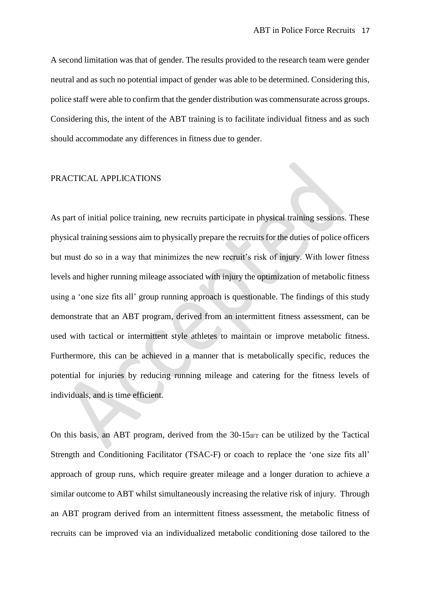A second limitation was that of gender. The results provided to the research team were gender neutral and as such no potential impact of gender was able to be determined. Considering this, police staff were able to confirm that the gender distribution was commensurate across groups. Considering this, the intent of the ABT training is to facilitate individual fitness and as such should accommodate any differences in fitness due to gender.

# PRACTICAL APPLICATIONS

As part of initial police training, new recruits participate in physical training sessions. These physical training sessions aim to physically prepare the recruits for the duties of police officers but must do so in a way that minimizes the new recruit's risk of injury. With lower fitness levels and higher running mileage associated with injury the optimization of metabolic fitness using a 'one size fits all' group running approach is questionable. The findings of this study demonstrate that an ABT program, derived from an intermittent fitness assessment, can be used with tactical or intermittent style athletes to maintain or improve metabolic fitness. Furthermore, this can be achieved in a manner that is metabolically specific, reduces the potential for injuries by reducing running mileage and catering for the fitness levels of individuals, and is time efficient.

On this basis, an ABT program, derived from the  $30-15$ <sub>IFT</sub> can be utilized by the Tactical Strength and Conditioning Facilitator (TSAC-F) or coach to replace the 'one size fits all' approach of group runs, which require greater mileage and a longer duration to achieve a similar outcome to ABT whilst simultaneously increasing the relative risk of injury. Through an ABT program derived from an intermittent fitness assessment, the metabolic fitness of recruits can be improved via an individualized metabolic conditioning dose tailored to the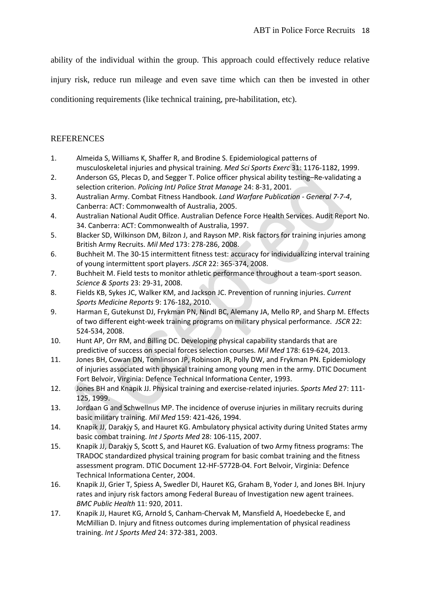ability of the individual within the group. This approach could effectively reduce relative

injury risk, reduce run mileage and even save time which can then be invested in other

conditioning requirements (like technical training, pre-habilitation, etc).

# REFERENCES

- <span id="page-18-3"></span>1. Almeida S, Williams K, Shaffer R, and Brodine S. Epidemiological patterns of musculoskeletal injuries and physical training. *Med Sci Sports Exerc* 31: 1176-1182, 1999.
- <span id="page-18-11"></span>2. Anderson GS, Plecas D, and Segger T. Police officer physical ability testing–Re-validating a selection criterion. *Policing IntJ Police Strat Manage* 24: 8-31, 2001.
- <span id="page-18-14"></span>3. Australian Army. Combat Fitness Handbook. *Land Warfare Publication - General 7-7-4*, Canberra: ACT: Commonwealth of Australia, 2005.
- <span id="page-18-2"></span>4. Australian National Audit Office. Australian Defence Force Health Services. Audit Report No. 34. Canberra: ACT: Commonwealth of Australia, 1997.
- <span id="page-18-5"></span>5. Blacker SD, Wilkinson DM, Bilzon J, and Rayson MP. Risk factors for training injuries among British Army Recruits. *Mil Med* 173: 278-286, 2008.
- <span id="page-18-13"></span>6. Buchheit M. The 30-15 intermittent fitness test: accuracy for individualizing interval training of young intermittent sport players. *JSCR* 22: 365-374, 2008.
- <span id="page-18-12"></span>7. Buchheit M. Field tests to monitor athletic performance throughout a team-sport season. *Science & Sports* 23: 29-31, 2008.
- <span id="page-18-7"></span>8. Fields KB, Sykes JC, Walker KM, and Jackson JC. Prevention of running injuries. *Current Sports Medicine Reports* 9: 176-182, 2010.
- <span id="page-18-8"></span>9. Harman E, Gutekunst DJ, Frykman PN, Nindl BC, Alemany JA, Mello RP, and Sharp M. Effects of two different eight-week training programs on military physical performance. *JSCR* 22: 524-534, 2008.
- <span id="page-18-15"></span>10. Hunt AP, Orr RM, and Billing DC. Developing physical capability standards that are predictive of success on special forces selection courses. *Mil Med* 178: 619-624, 2013.
- <span id="page-18-0"></span>11. Jones BH, Cowan DN, Tomlinson JP, Robinson JR, Polly DW, and Frykman PN. Epidemiology of injuries associated with physical training among young men in the army. DTIC Document Fort Belvoir, Virginia: Defence Technical Informationa Center, 1993.
- <span id="page-18-4"></span>12. Jones BH and Knapik JJ. Physical training and exercise-related injuries. *Sports Med* 27: 111- 125, 1999.
- <span id="page-18-1"></span>13. Jordaan G and Schwellnus MP. The incidence of overuse injuries in military recruits during basic military training. *Mil Med* 159: 421-426, 1994.
- <span id="page-18-16"></span>14. Knapik JJ, Darakjy S, and Hauret KG. Ambulatory physical activity during United States army basic combat training. *Int J Sports Med* 28: 106-115, 2007.
- <span id="page-18-9"></span>15. Knapik JJ, Darakjy S, Scott S, and Hauret KG. Evaluation of two Army fitness programs: The TRADOC standardized physical training program for basic combat training and the fitness assessment program. DTIC Document 12-HF-5772B-04. Fort Belvoir, Virginia: Defence Technical Informationa Center, 2004.
- <span id="page-18-6"></span>16. Knapik JJ, Grier T, Spiess A, Swedler DI, Hauret KG, Graham B, Yoder J, and Jones BH. Injury rates and injury risk factors among Federal Bureau of Investigation new agent trainees. *BMC Public Health* 11: 920, 2011.
- <span id="page-18-10"></span>17. Knapik JJ, Hauret KG, Arnold S, Canham-Chervak M, Mansfield A, Hoedebecke E, and McMillian D. Injury and fitness outcomes during implementation of physical readiness training. *Int J Sports Med* 24: 372-381, 2003.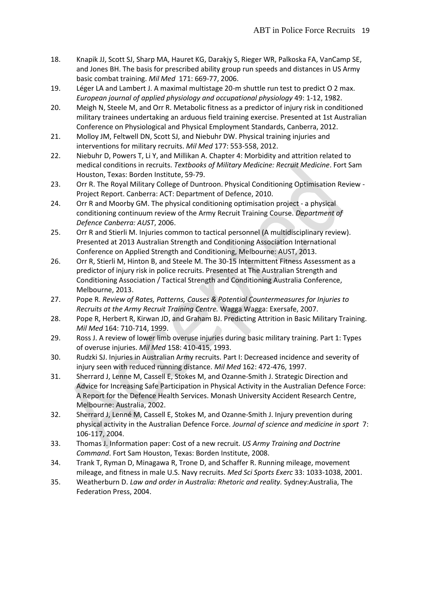- <span id="page-19-9"></span>18. Knapik JJ, Scott SJ, Sharp MA, Hauret KG, Darakjy S, Rieger WR, Palkoska FA, VanCamp SE, and Jones BH. The basis for prescribed ability group run speeds and distances in US Army basic combat training. *Mil Med* 171: 669-77, 2006.
- <span id="page-19-16"></span>19. Léger LA and Lambert J. A maximal multistage 20-m shuttle run test to predict O 2 max. *European journal of applied physiology and occupational physiology* 49: 1-12, 1982.
- <span id="page-19-15"></span>20. Meigh N, Steele M, and Orr R. Metabolic fitness as a predictor of injury risk in conditioned military trainees undertaking an arduous field training exercise. Presented at 1st Australian Conference on Physiological and Physical Employment Standards, Canberra, 2012.
- <span id="page-19-1"></span>21. Molloy JM, Feltwell DN, Scott SJ, and Niebuhr DW. Physical training injuries and interventions for military recruits. *Mil Med* 177: 553-558, 2012.
- <span id="page-19-6"></span>22. Niebuhr D, Powers T, Li Y, and Millikan A. Chapter 4: Morbidity and attrition related to medical conditions in recruits. *Textbooks of Military Medicine: Recruit Medicine*. Fort Sam Houston, Texas: Borden Institute, 59-79.
- <span id="page-19-10"></span>23. Orr R. The Royal Military College of Duntroon. Physical Conditioning Optimisation Review - Project Report. Canberra: ACT: Department of Defence, 2010.
- <span id="page-19-17"></span>24. Orr R and Moorby GM. The physical conditioning optimisation project - a physical conditioning continuum review of the Army Recruit Training Course. *Department of Defence Canberra: AUST*, 2006.
- <span id="page-19-12"></span>25. Orr R and Stierli M. Injuries common to tactical personnel (A multidisciplinary review). Presented at 2013 Australian Strength and Conditioning Association International Conference on Applied Strength and Conditioning, Melbourne: AUST, 2013.
- <span id="page-19-14"></span>26. Orr R, Stierli M, Hinton B, and Steele M. The 30-15 Intermittent Fitness Assessment as a predictor of injury risk in police recruits. Presented at The Australian Strength and Conditioning Association / Tactical Strength and Conditioning Australia Conference, Melbourne, 2013.
- <span id="page-19-11"></span>27. Pope R. *Review of Rates, Patterns, Causes & Potential Countermeasures for Injuries to Recruits at the Army Recruit Training Centre.* Wagga Wagga: Exersafe, 2007.
- <span id="page-19-2"></span>28. Pope R, Herbert R, Kirwan JD, and Graham BJ. Predicting Attrition in Basic Military Training. *Mil Med* 164: 710-714, 1999.
- <span id="page-19-5"></span>29. Ross J. A review of lower limb overuse injuries during basic military training. Part 1: Types of overuse injuries. *Mil Med* 158: 410-415, 1993.
- <span id="page-19-0"></span>30. Rudzki SJ. Injuries in Australian Army recruits. Part I: Decreased incidence and severity of injury seen with reduced running distance. *Mil Med* 162: 472-476, 1997.
- <span id="page-19-8"></span>31. Sherrard J, Lenne M, Cassell E, Stokes M, and Ozanne-Smith J. Strategic Direction and Advice for Increasing Safe Participation in Physical Activity in the Australian Defence Force: A Report for the Defence Health Services. Monash University Accident Research Centre, Melbourne: Australia, 2002.
- <span id="page-19-4"></span>32. Sherrard J, Lenné M, Cassell E, Stokes M, and Ozanne-Smith J. Injury prevention during physical activity in the Australian Defence Force. *Journal of science and medicine in sport* 7: 106-117, 2004.
- <span id="page-19-3"></span>33. Thomas J. Information paper: Cost of a new recruit. *US Army Training and Doctrine Command*. Fort Sam Houston, Texas: Borden Institute, 2008.
- <span id="page-19-7"></span>34. Trank T, Ryman D, Minagawa R, Trone D, and Schaffer R. Running mileage, movement mileage, and fitness in male U.S. Navy recruits. *Med Sci Sports Exerc* 33: 1033-1038, 2001.
- <span id="page-19-13"></span>35. Weatherburn D. *Law and order in Australia: Rhetoric and reality.* Sydney:Australia, The Federation Press, 2004.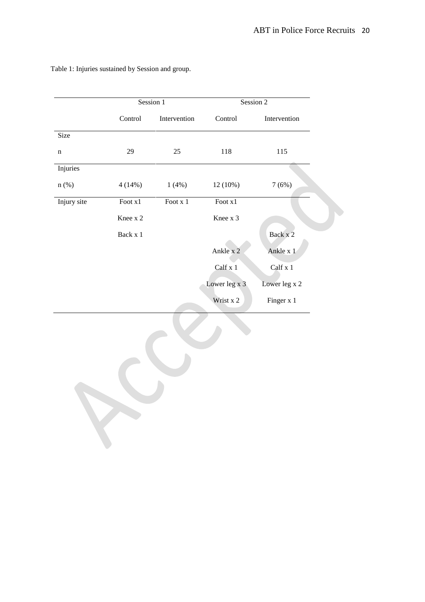|             | Session 1 |              | Session 2     |               |  |
|-------------|-----------|--------------|---------------|---------------|--|
|             | Control   | Intervention | Control       | Intervention  |  |
| Size        |           |              |               |               |  |
| n           | 29        | 25           | 118           | 115           |  |
| Injuries    |           |              |               |               |  |
| $n$ (%)     | 4(14%)    | 1(4%)        | $12(10\%)$    | 7(6%)         |  |
| Injury site | Foot x1   | Foot x 1     | Foot x1       |               |  |
|             | Knee x 2  |              | Knee x 3      |               |  |
|             | Back x 1  |              |               | Back x 2      |  |
|             |           |              | Ankle x 2     | Ankle x 1     |  |
|             |           |              | Calf x 1      | Calf x 1      |  |
|             |           |              | Lower leg x 3 | Lower leg x 2 |  |
|             |           |              | Wrist x 2     | Finger x 1    |  |

Table 1: Injuries sustained by Session and group.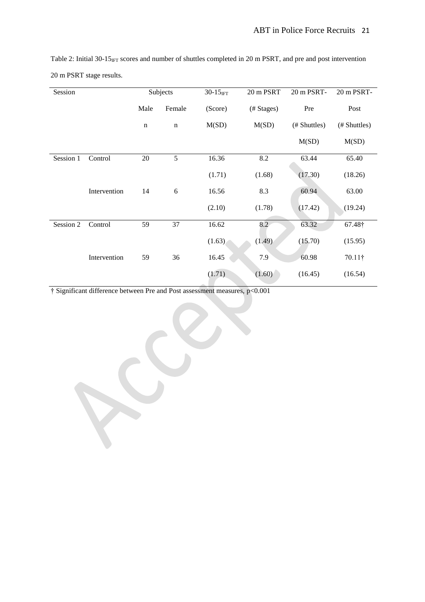| Session   |              | Subjects    |             | $30-15$ IFT | 20 m PSRT  | 20 m PSRT-   | 20 m PSRT-     |
|-----------|--------------|-------------|-------------|-------------|------------|--------------|----------------|
|           |              | Male        | Female      | (Score)     | (# Stages) | Pre          | Post           |
|           |              | $\mathbf n$ | $\mathbf n$ | M(SD)       | M(SD)      | (# Shuttles) | (# Shuttles)   |
|           |              |             |             |             |            | M(SD)        | M(SD)          |
| Session 1 | Control      | 20          | 5           | 16.36       | 8.2        | 63.44        | 65.40          |
|           |              |             |             | (1.71)      | (1.68)     | (17.30)      | (18.26)        |
|           | Intervention | 14          | 6           | 16.56       | 8.3        | 60.94        | 63.00          |
|           |              |             |             | (2.10)      | (1.78)     | (17.42)      | (19.24)        |
| Session 2 | Control      | 59          | 37          | 16.62       | 8.2        | 63.32        | 67.48†         |
|           |              |             |             | (1.63)      | (1.49)     | (15.70)      | (15.95)        |
|           | Intervention | 59          | 36          | 16.45       | 7.9        | 60.98        | $70.11\dagger$ |
|           |              |             |             | (1.71)      | (1.60)     | (16.45)      | (16.54)        |

Table 2: Initial  $30-15_{\text{IFT}}$  scores and number of shuttles completed in 20 m PSRT, and pre and post intervention 20 m PSRT stage results.

† Significant difference between Pre and Post assessment measures, p<0.001

 $\mathbf{C}$ 

 $\sum_{i=1}^{n}$